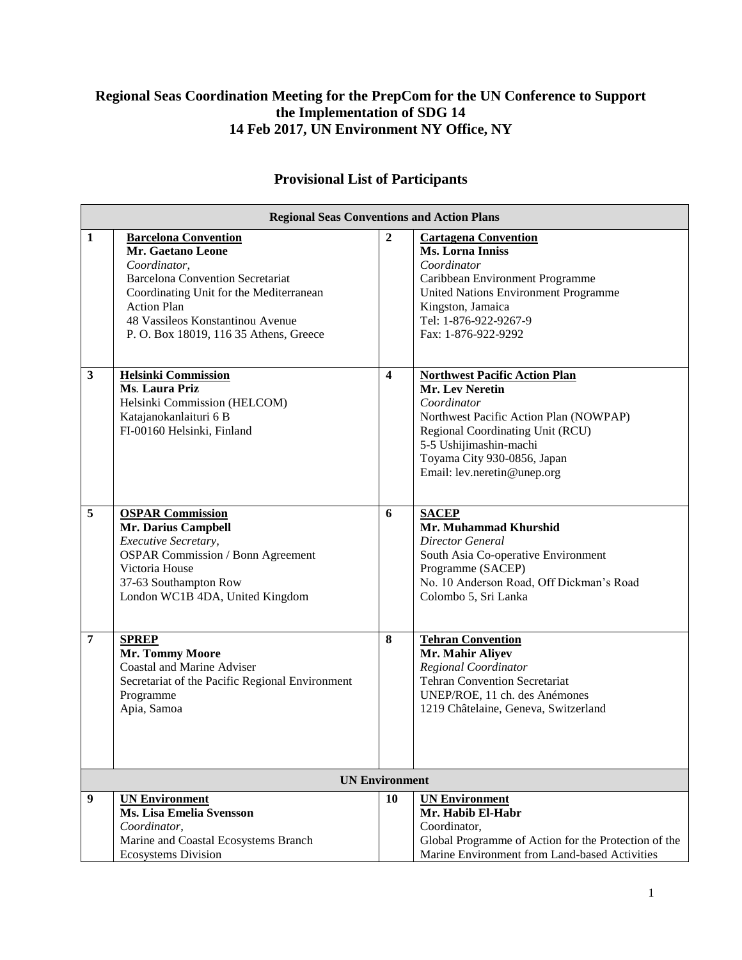## **Regional Seas Coordination Meeting for the PrepCom for the UN Conference to Support the Implementation of SDG 14 14 Feb 2017, UN Environment NY Office, NY**

## **Provisional List of Participants**

| <b>Regional Seas Conventions and Action Plans</b> |                                                                                                                                                                                                                                                                   |                         |                                                                                                                                                                                                                                                     |  |
|---------------------------------------------------|-------------------------------------------------------------------------------------------------------------------------------------------------------------------------------------------------------------------------------------------------------------------|-------------------------|-----------------------------------------------------------------------------------------------------------------------------------------------------------------------------------------------------------------------------------------------------|--|
| $\mathbf{1}$                                      | <b>Barcelona Convention</b><br><b>Mr. Gaetano Leone</b><br>Coordinator,<br><b>Barcelona Convention Secretariat</b><br>Coordinating Unit for the Mediterranean<br><b>Action Plan</b><br>48 Vassileos Konstantinou Avenue<br>P. O. Box 18019, 116 35 Athens, Greece | $\overline{2}$          | <b>Cartagena Convention</b><br><b>Ms. Lorna Inniss</b><br>Coordinator<br>Caribbean Environment Programme<br>United Nations Environment Programme<br>Kingston, Jamaica<br>Tel: 1-876-922-9267-9<br>Fax: 1-876-922-9292                               |  |
| $\mathbf{3}$                                      | <b>Helsinki Commission</b><br>Ms. Laura Priz<br>Helsinki Commission (HELCOM)<br>Katajanokanlaituri 6 B<br>FI-00160 Helsinki, Finland                                                                                                                              | $\overline{\mathbf{4}}$ | <b>Northwest Pacific Action Plan</b><br><b>Mr. Lev Neretin</b><br>Coordinator<br>Northwest Pacific Action Plan (NOWPAP)<br>Regional Coordinating Unit (RCU)<br>5-5 Ushijimashin-machi<br>Toyama City 930-0856, Japan<br>Email: lev.neretin@unep.org |  |
| 5                                                 | <b>OSPAR Commission</b><br>Mr. Darius Campbell<br>Executive Secretary,<br><b>OSPAR Commission / Bonn Agreement</b><br>Victoria House<br>37-63 Southampton Row<br>London WC1B 4DA, United Kingdom                                                                  | 6                       | <b>SACEP</b><br>Mr. Muhammad Khurshid<br>Director General<br>South Asia Co-operative Environment<br>Programme (SACEP)<br>No. 10 Anderson Road, Off Dickman's Road<br>Colombo 5, Sri Lanka                                                           |  |
| 7                                                 | <b>SPREP</b><br>Mr. Tommy Moore<br><b>Coastal and Marine Adviser</b><br>Secretariat of the Pacific Regional Environment<br>Programme<br>Apia, Samoa                                                                                                               | 8                       | <b>Tehran Convention</b><br>Mr. Mahir Aliyev<br>Regional Coordinator<br><b>Tehran Convention Secretariat</b><br>UNEP/ROE, 11 ch. des Anémones<br>1219 Châtelaine, Geneva, Switzerland                                                               |  |
| <b>UN Environment</b>                             |                                                                                                                                                                                                                                                                   |                         |                                                                                                                                                                                                                                                     |  |
| $\boldsymbol{9}$                                  | <b>UN Environment</b><br>Ms. Lisa Emelia Svensson<br>Coordinator,<br>Marine and Coastal Ecosystems Branch<br><b>Ecosystems Division</b>                                                                                                                           | 10                      | <b>UN Environment</b><br>Mr. Habib El-Habr<br>Coordinator,<br>Global Programme of Action for the Protection of the<br>Marine Environment from Land-based Activities                                                                                 |  |